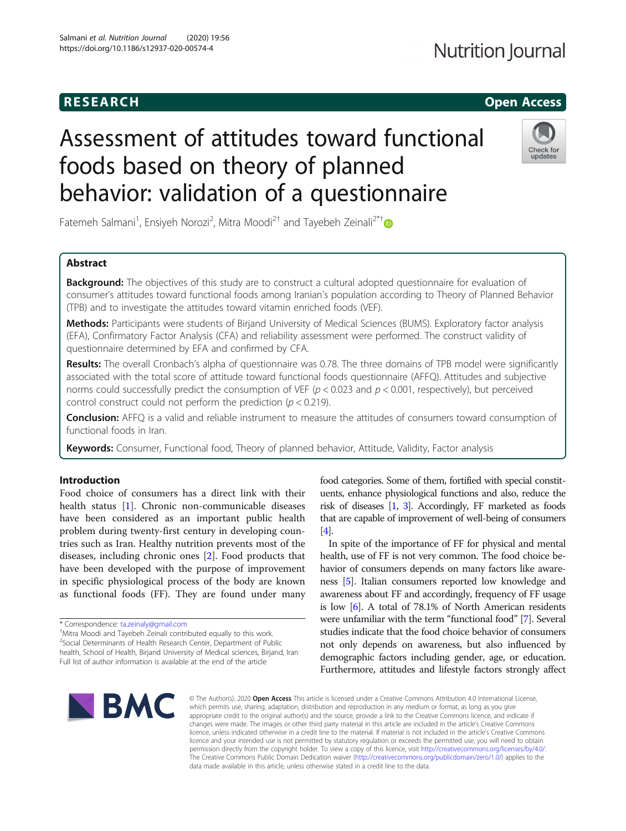## **RESEARCH CHILD CONTROL** CONTROL CONTROL CONTROL CONTROL CONTROL CONTROL CONTROL CONTROL CONTROL CONTROL CONTROL CONTROL CONTROL CONTROL CONTROL CONTROL CONTROL CONTROL CONTROL CONTROL CONTROL CONTROL CONTROL CONTROL CONTR

# Assessment of attitudes toward functional foods based on theory of planned behavior: validation of a questionnaire



Fatemeh Salmani<sup>1</sup>, Ensiyeh Norozi<sup>2</sup>, Mitra Moodi<sup>2†</sup> and Tayebeh Zeinali<sup>2\*†</sup>

### Abstract

**Background:** The objectives of this study are to construct a cultural adopted questionnaire for evaluation of consumer's attitudes toward functional foods among Iranian's population according to Theory of Planned Behavior (TPB) and to investigate the attitudes toward vitamin enriched foods (VEF).

Methods: Participants were students of Birjand University of Medical Sciences (BUMS). Exploratory factor analysis (EFA), Confirmatory Factor Analysis (CFA) and reliability assessment were performed. The construct validity of questionnaire determined by EFA and confirmed by CFA.

Results: The overall Cronbach's alpha of questionnaire was 0.78. The three domains of TPB model were significantly associated with the total score of attitude toward functional foods questionnaire (AFFQ). Attitudes and subjective norms could successfully predict the consumption of VEF ( $p < 0.023$  and  $p < 0.001$ , respectively), but perceived control construct could not perform the prediction ( $p < 0.219$ ).

Conclusion: AFFQ is a valid and reliable instrument to measure the attitudes of consumers toward consumption of functional foods in Iran.

Keywords: Consumer, Functional food, Theory of planned behavior, Attitude, Validity, Factor analysis

#### Introduction

Food choice of consumers has a direct link with their health status [1]. Chronic non-communicable diseases have been considered as an important public health problem during twenty-first century in developing countries such as Iran. Healthy nutrition prevents most of the diseases, including chronic ones [2]. Food products that have been developed with the purpose of improvement in specific physiological process of the body are known as functional foods (FF). They are found under many

Mitra Moodi and Tayebeh Zeinali contributed equally to this work. <sup>2</sup> Social Determinants of Health Research Center, Department of Public health, School of Health, Birjand University of Medical sciences, Birjand, Iran Full list of author information is available at the end of the article

food categories. Some of them, fortified with special constituents, enhance physiological functions and also, reduce the risk of diseases [1, 3]. Accordingly, FF marketed as foods that are capable of improvement of well-being of consumers [4].

In spite of the importance of FF for physical and mental health, use of FF is not very common. The food choice behavior of consumers depends on many factors like awareness [5]. Italian consumers reported low knowledge and awareness about FF and accordingly, frequency of FF usage is low [6]. A total of 78.1% of North American residents were unfamiliar with the term "functional food" [7]. Several studies indicate that the food choice behavior of consumers not only depends on awareness, but also influenced by demographic factors including gender, age, or education. Furthermore, attitudes and lifestyle factors strongly affect



© The Author(s), 2020 **Open Access** This article is licensed under a Creative Commons Attribution 4.0 International License, which permits use, sharing, adaptation, distribution and reproduction in any medium or format, as long as you give appropriate credit to the original author(s) and the source, provide a link to the Creative Commons licence, and indicate if changes were made. The images or other third party material in this article are included in the article's Creative Commons licence, unless indicated otherwise in a credit line to the material. If material is not included in the article's Creative Commons licence and your intended use is not permitted by statutory regulation or exceeds the permitted use, you will need to obtain permission directly from the copyright holder. To view a copy of this licence, visit http://creativecommons.org/licenses/by/4.0/. The Creative Commons Public Domain Dedication waiver (http://creativecommons.org/publicdomain/zero/1.0/) applies to the data made available in this article, unless otherwise stated in a credit line to the data.

<sup>\*</sup> Correspondence: ta.zeinaly@gmail.com †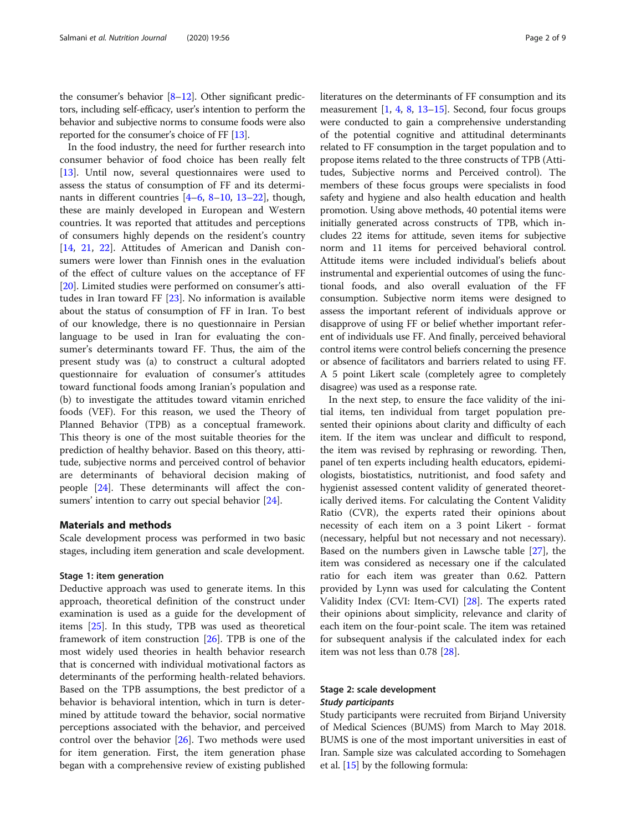the consumer's behavior [8–12]. Other significant predictors, including self-efficacy, user's intention to perform the behavior and subjective norms to consume foods were also reported for the consumer's choice of FF [13].

In the food industry, the need for further research into consumer behavior of food choice has been really felt [13]. Until now, several questionnaires were used to assess the status of consumption of FF and its determinants in different countries [4–6, 8–10, 13–22], though, these are mainly developed in European and Western countries. It was reported that attitudes and perceptions of consumers highly depends on the resident's country [14, 21, 22]. Attitudes of American and Danish consumers were lower than Finnish ones in the evaluation of the effect of culture values on the acceptance of FF [20]. Limited studies were performed on consumer's attitudes in Iran toward FF [23]. No information is available about the status of consumption of FF in Iran. To best of our knowledge, there is no questionnaire in Persian language to be used in Iran for evaluating the consumer's determinants toward FF. Thus, the aim of the present study was (a) to construct a cultural adopted questionnaire for evaluation of consumer's attitudes toward functional foods among Iranian's population and (b) to investigate the attitudes toward vitamin enriched foods (VEF). For this reason, we used the Theory of Planned Behavior (TPB) as a conceptual framework. This theory is one of the most suitable theories for the prediction of healthy behavior. Based on this theory, attitude, subjective norms and perceived control of behavior are determinants of behavioral decision making of people [24]. These determinants will affect the consumers' intention to carry out special behavior [24].

#### Materials and methods

Scale development process was performed in two basic stages, including item generation and scale development.

#### Stage 1: item generation

Deductive approach was used to generate items. In this approach, theoretical definition of the construct under examination is used as a guide for the development of items [25]. In this study, TPB was used as theoretical framework of item construction [26]. TPB is one of the most widely used theories in health behavior research that is concerned with individual motivational factors as determinants of the performing health-related behaviors. Based on the TPB assumptions, the best predictor of a behavior is behavioral intention, which in turn is determined by attitude toward the behavior, social normative perceptions associated with the behavior, and perceived control over the behavior  $[26]$ . Two methods were used for item generation. First, the item generation phase began with a comprehensive review of existing published literatures on the determinants of FF consumption and its measurement [1, 4, 8, 13–15]. Second, four focus groups were conducted to gain a comprehensive understanding of the potential cognitive and attitudinal determinants related to FF consumption in the target population and to propose items related to the three constructs of TPB (Attitudes, Subjective norms and Perceived control). The members of these focus groups were specialists in food safety and hygiene and also health education and health promotion. Using above methods, 40 potential items were initially generated across constructs of TPB, which includes 22 items for attitude, seven items for subjective norm and 11 items for perceived behavioral control. Attitude items were included individual's beliefs about instrumental and experiential outcomes of using the functional foods, and also overall evaluation of the FF consumption. Subjective norm items were designed to assess the important referent of individuals approve or disapprove of using FF or belief whether important referent of individuals use FF. And finally, perceived behavioral control items were control beliefs concerning the presence or absence of facilitators and barriers related to using FF. A 5 point Likert scale (completely agree to completely disagree) was used as a response rate.

In the next step, to ensure the face validity of the initial items, ten individual from target population presented their opinions about clarity and difficulty of each item. If the item was unclear and difficult to respond, the item was revised by rephrasing or rewording. Then, panel of ten experts including health educators, epidemiologists, biostatistics, nutritionist, and food safety and hygienist assessed content validity of generated theoretically derived items. For calculating the Content Validity Ratio (CVR), the experts rated their opinions about necessity of each item on a 3 point Likert - format (necessary, helpful but not necessary and not necessary). Based on the numbers given in Lawsche table [27], the item was considered as necessary one if the calculated ratio for each item was greater than 0.62. Pattern provided by Lynn was used for calculating the Content Validity Index (CVI: Item-CVI) [28]. The experts rated their opinions about simplicity, relevance and clarity of each item on the four-point scale. The item was retained for subsequent analysis if the calculated index for each item was not less than 0.78 [28].

#### Stage 2: scale development Study participants

Study participants were recruited from Birjand University of Medical Sciences (BUMS) from March to May 2018. BUMS is one of the most important universities in east of Iran. Sample size was calculated according to Somehagen et al. [15] by the following formula: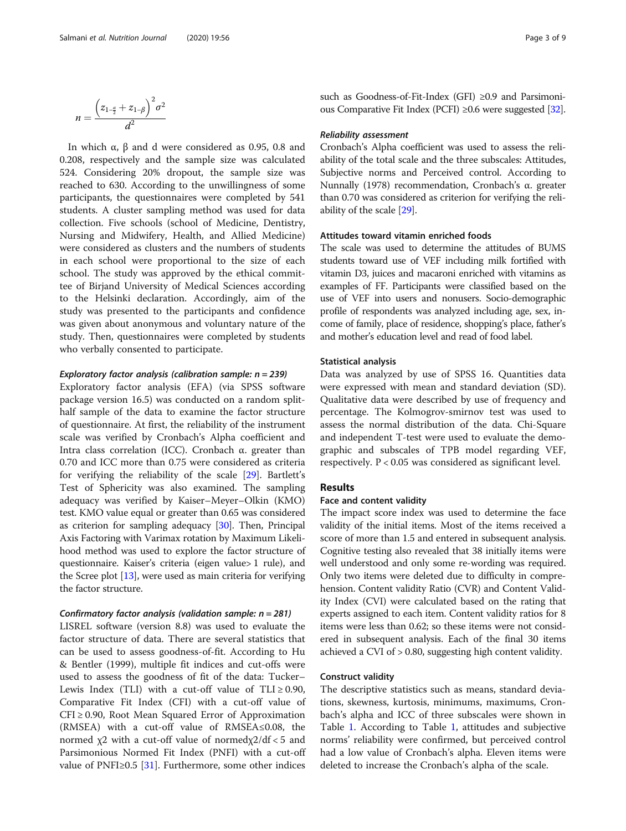$$
n=\frac{\left(z_{1-\frac{\alpha}{2}}+z_{1-\beta}\right)^2\sigma^2}{d^2}
$$

In which  $\alpha$ ,  $\beta$  and d were considered as 0.95, 0.8 and 0.208, respectively and the sample size was calculated 524. Considering 20% dropout, the sample size was reached to 630. According to the unwillingness of some participants, the questionnaires were completed by 541 students. A cluster sampling method was used for data collection. Five schools (school of Medicine, Dentistry, Nursing and Midwifery, Health, and Allied Medicine) were considered as clusters and the numbers of students in each school were proportional to the size of each school. The study was approved by the ethical committee of Birjand University of Medical Sciences according to the Helsinki declaration. Accordingly, aim of the study was presented to the participants and confidence was given about anonymous and voluntary nature of the study. Then, questionnaires were completed by students who verbally consented to participate.

#### Exploratory factor analysis (calibration sample:  $n = 239$ )

Exploratory factor analysis (EFA) (via SPSS software package version 16.5) was conducted on a random splithalf sample of the data to examine the factor structure of questionnaire. At first, the reliability of the instrument scale was verified by Cronbach's Alpha coefficient and Intra class correlation (ICC). Cronbach α. greater than 0.70 and ICC more than 0.75 were considered as criteria for verifying the reliability of the scale [29]. Bartlett's Test of Sphericity was also examined. The sampling adequacy was verified by Kaiser–Meyer–Olkin (KMO) test. KMO value equal or greater than 0.65 was considered as criterion for sampling adequacy [30]. Then, Principal Axis Factoring with Varimax rotation by Maximum Likelihood method was used to explore the factor structure of questionnaire. Kaiser's criteria (eigen value> 1 rule), and the Scree plot [13], were used as main criteria for verifying the factor structure.

#### Confirmatory factor analysis (validation sample:  $n = 281$ )

LISREL software (version 8.8) was used to evaluate the factor structure of data. There are several statistics that can be used to assess goodness-of-fit. According to Hu & Bentler (1999), multiple fit indices and cut-offs were used to assess the goodness of fit of the data: Tucker– Lewis Index (TLI) with a cut-off value of  $TLI \geq 0.90$ , Comparative Fit Index (CFI) with a cut-off value of CFI ≥ 0.90, Root Mean Squared Error of Approximation (RMSEA) with a cut-off value of RMSEA≤0.08, the normed  $χ$ 2 with a cut-off value of normed $χ$ 2/df < 5 and Parsimonious Normed Fit Index (PNFI) with a cut-off value of PNFI≥0.5 [31]. Furthermore, some other indices such as Goodness-of-Fit-Index (GFI) ≥0.9 and Parsimonious Comparative Fit Index (PCFI) ≥0.6 were suggested [32].

#### Reliability assessment

Cronbach's Alpha coefficient was used to assess the reliability of the total scale and the three subscales: Attitudes, Subjective norms and Perceived control. According to Nunnally (1978) recommendation, Cronbach's α. greater than 0.70 was considered as criterion for verifying the reliability of the scale [29].

#### Attitudes toward vitamin enriched foods

The scale was used to determine the attitudes of BUMS students toward use of VEF including milk fortified with vitamin D3, juices and macaroni enriched with vitamins as examples of FF. Participants were classified based on the use of VEF into users and nonusers. Socio-demographic profile of respondents was analyzed including age, sex, income of family, place of residence, shopping's place, father's and mother's education level and read of food label.

#### Statistical analysis

Data was analyzed by use of SPSS 16. Quantities data were expressed with mean and standard deviation (SD). Qualitative data were described by use of frequency and percentage. The Kolmogrov-smirnov test was used to assess the normal distribution of the data. Chi-Square and independent T-test were used to evaluate the demographic and subscales of TPB model regarding VEF, respectively. P < 0.05 was considered as significant level.

#### Results

#### Face and content validity

The impact score index was used to determine the face validity of the initial items. Most of the items received a score of more than 1.5 and entered in subsequent analysis. Cognitive testing also revealed that 38 initially items were well understood and only some re-wording was required. Only two items were deleted due to difficulty in comprehension. Content validity Ratio (CVR) and Content Validity Index (CVI) were calculated based on the rating that experts assigned to each item. Content validity ratios for 8 items were less than 0.62; so these items were not considered in subsequent analysis. Each of the final 30 items achieved a CVI of > 0.80, suggesting high content validity.

#### Construct validity

The descriptive statistics such as means, standard deviations, skewness, kurtosis, minimums, maximums, Cronbach's alpha and ICC of three subscales were shown in Table 1. According to Table 1, attitudes and subjective norms' reliability were confirmed, but perceived control had a low value of Cronbach's alpha. Eleven items were deleted to increase the Cronbach's alpha of the scale.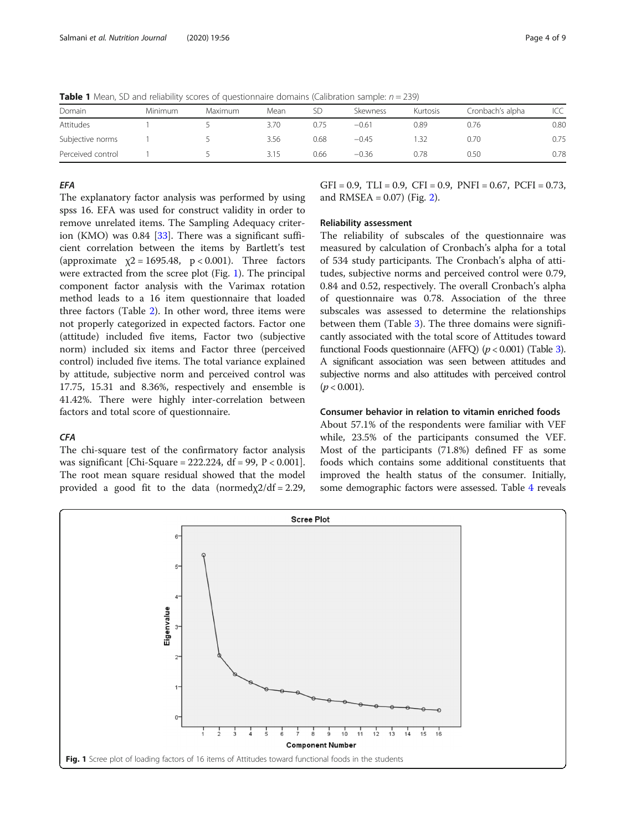**Table 1** Mean, SD and reliability scores of questionnaire domains (Calibration sample:  $n = 239$ )

| Domain            | Minimum | Maximum | Mean | SD   | Skewness | Kurtosis | Cronbach's alpha | ICC  |
|-------------------|---------|---------|------|------|----------|----------|------------------|------|
| Attitudes         |         |         | 3.70 | 0.75 | $-0.61$  | 0.89     | 0.76             | 0.80 |
| Subjective norms  |         |         | 3.56 | 0.68 | $-0.45$  |          | 0.70             | 0.75 |
| Perceived control |         |         | 3.15 | 0.66 | $-0.36$  | J.78     | 0.50             | 0.78 |

#### **FFA**

The explanatory factor analysis was performed by using spss 16. EFA was used for construct validity in order to remove unrelated items. The Sampling Adequacy criterion (KMO) was 0.84 [33]. There was a significant sufficient correlation between the items by Bartlett's test (approximate  $\chi$ 2 = 1695.48, p < 0.001). Three factors were extracted from the scree plot (Fig. 1). The principal component factor analysis with the Varimax rotation method leads to a 16 item questionnaire that loaded three factors (Table 2). In other word, three items were not properly categorized in expected factors. Factor one (attitude) included five items, Factor two (subjective norm) included six items and Factor three (perceived control) included five items. The total variance explained by attitude, subjective norm and perceived control was 17.75, 15.31 and 8.36%, respectively and ensemble is 41.42%. There were highly inter-correlation between factors and total score of questionnaire.

#### **CFA**

The chi-square test of the confirmatory factor analysis was significant [Chi-Square =  $222.224$ , df = 99, P < 0.001]. The root mean square residual showed that the model provided a good fit to the data (normed $x/2$ df = 2.29,  $GFI = 0.9$ ,  $TLI = 0.9$ ,  $CFI = 0.9$ ,  $PNFI = 0.67$ ,  $PCFI = 0.73$ , and  $RMSEA = 0.07$ ) (Fig. 2).

#### Reliability assessment

The reliability of subscales of the questionnaire was measured by calculation of Cronbach's alpha for a total of 534 study participants. The Cronbach's alpha of attitudes, subjective norms and perceived control were 0.79, 0.84 and 0.52, respectively. The overall Cronbach's alpha of questionnaire was 0.78. Association of the three subscales was assessed to determine the relationships between them (Table 3). The three domains were significantly associated with the total score of Attitudes toward functional Foods questionnaire (AFFQ)  $(p < 0.001)$  (Table 3). A significant association was seen between attitudes and subjective norms and also attitudes with perceived control  $(p < 0.001)$ .

#### Consumer behavior in relation to vitamin enriched foods

About 57.1% of the respondents were familiar with VEF while, 23.5% of the participants consumed the VEF. Most of the participants (71.8%) defined FF as some foods which contains some additional constituents that improved the health status of the consumer. Initially, some demographic factors were assessed. Table 4 reveals

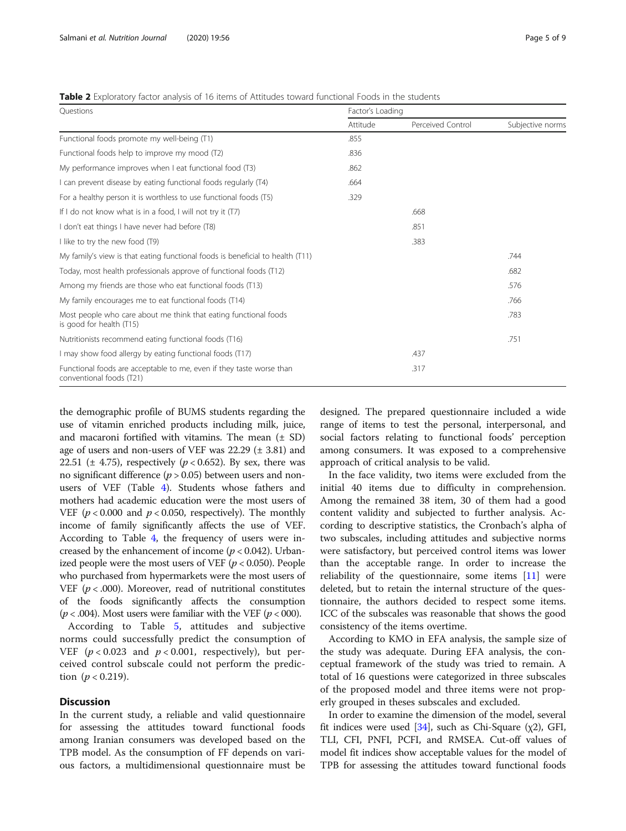|  |  |  | <b>Table 2</b> Exploratory factor analysis of 16 items of Attitudes toward functional Foods in the students |
|--|--|--|-------------------------------------------------------------------------------------------------------------|
|--|--|--|-------------------------------------------------------------------------------------------------------------|

| Ouestions                                                                                        | Factor's Loading |                   |                  |  |  |
|--------------------------------------------------------------------------------------------------|------------------|-------------------|------------------|--|--|
|                                                                                                  | Attitude         | Perceived Control | Subjective norms |  |  |
| Functional foods promote my well-being (T1)                                                      | .855             |                   |                  |  |  |
| Functional foods help to improve my mood (T2)                                                    | .836             |                   |                  |  |  |
| My performance improves when I eat functional food (T3)                                          | .862             |                   |                  |  |  |
| I can prevent disease by eating functional foods regularly (T4)                                  | .664             |                   |                  |  |  |
| For a healthy person it is worthless to use functional foods (T5)                                | .329             |                   |                  |  |  |
| If I do not know what is in a food, I will not try it (T7)                                       |                  | .668              |                  |  |  |
| I don't eat things I have never had before (T8)                                                  |                  | .851              |                  |  |  |
| I like to try the new food (T9)                                                                  |                  | .383              |                  |  |  |
| My family's view is that eating functional foods is beneficial to health (T11)                   |                  |                   | .744             |  |  |
| Today, most health professionals approve of functional foods (T12)                               |                  |                   | .682             |  |  |
| Among my friends are those who eat functional foods (T13)                                        |                  |                   | .576             |  |  |
| My family encourages me to eat functional foods (T14)                                            |                  |                   | .766             |  |  |
| Most people who care about me think that eating functional foods<br>is good for health (T15)     |                  |                   | .783             |  |  |
| Nutritionists recommend eating functional foods (T16)                                            |                  |                   | .751             |  |  |
| I may show food allergy by eating functional foods (T17)                                         |                  | .437              |                  |  |  |
| Functional foods are acceptable to me, even if they taste worse than<br>conventional foods (T21) |                  | .317              |                  |  |  |

the demographic profile of BUMS students regarding the use of vitamin enriched products including milk, juice, and macaroni fortified with vitamins. The mean  $(\pm SD)$ age of users and non-users of VEF was  $22.29 \ (\pm \ 3.81)$  and 22.51 ( $\pm$  4.75), respectively ( $p < 0.652$ ). By sex, there was no significant difference ( $p > 0.05$ ) between users and nonusers of VEF (Table 4). Students whose fathers and mothers had academic education were the most users of VEF ( $p < 0.000$  and  $p < 0.050$ , respectively). The monthly income of family significantly affects the use of VEF. According to Table 4, the frequency of users were increased by the enhancement of income ( $p < 0.042$ ). Urbanized people were the most users of VEF ( $p < 0.050$ ). People who purchased from hypermarkets were the most users of VEF ( $p < .000$ ). Moreover, read of nutritional constitutes of the foods significantly affects the consumption ( $p < .004$ ). Most users were familiar with the VEF ( $p < .000$ ).

According to Table 5, attitudes and subjective norms could successfully predict the consumption of VEF ( $p < 0.023$  and  $p < 0.001$ , respectively), but perceived control subscale could not perform the prediction  $(p < 0.219)$ .

#### **Discussion**

In the current study, a reliable and valid questionnaire for assessing the attitudes toward functional foods among Iranian consumers was developed based on the TPB model. As the consumption of FF depends on various factors, a multidimensional questionnaire must be

designed. The prepared questionnaire included a wide range of items to test the personal, interpersonal, and social factors relating to functional foods' perception among consumers. It was exposed to a comprehensive approach of critical analysis to be valid.

In the face validity, two items were excluded from the initial 40 items due to difficulty in comprehension. Among the remained 38 item, 30 of them had a good content validity and subjected to further analysis. According to descriptive statistics, the Cronbach's alpha of two subscales, including attitudes and subjective norms were satisfactory, but perceived control items was lower than the acceptable range. In order to increase the reliability of the questionnaire, some items [11] were deleted, but to retain the internal structure of the questionnaire, the authors decided to respect some items. ICC of the subscales was reasonable that shows the good consistency of the items overtime.

According to KMO in EFA analysis, the sample size of the study was adequate. During EFA analysis, the conceptual framework of the study was tried to remain. A total of 16 questions were categorized in three subscales of the proposed model and three items were not properly grouped in theses subscales and excluded.

In order to examine the dimension of the model, several fit indices were used [34], such as Chi-Square  $(\chi 2)$ , GFI, TLI, CFI, PNFI, PCFI, and RMSEA. Cut-off values of model fit indices show acceptable values for the model of TPB for assessing the attitudes toward functional foods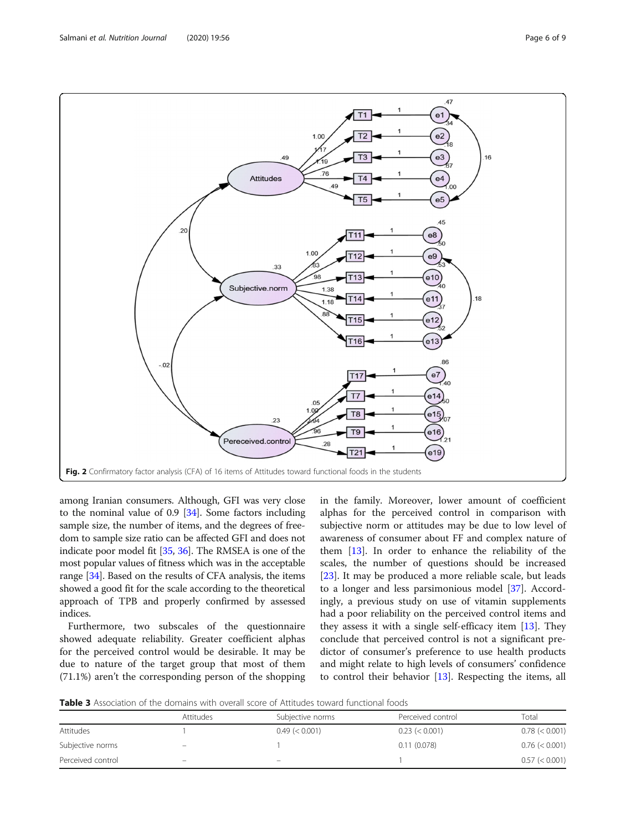Salmani et al. Nutrition Journal (2020) 19:56 Page 6 of 9



among Iranian consumers. Although, GFI was very close to the nominal value of 0.9 [34]. Some factors including sample size, the number of items, and the degrees of freedom to sample size ratio can be affected GFI and does not indicate poor model fit [35, 36]. The RMSEA is one of the most popular values of fitness which was in the acceptable range [34]. Based on the results of CFA analysis, the items showed a good fit for the scale according to the theoretical approach of TPB and properly confirmed by assessed indices.

Furthermore, two subscales of the questionnaire showed adequate reliability. Greater coefficient alphas for the perceived control would be desirable. It may be due to nature of the target group that most of them (71.1%) aren't the corresponding person of the shopping in the family. Moreover, lower amount of coefficient alphas for the perceived control in comparison with subjective norm or attitudes may be due to low level of awareness of consumer about FF and complex nature of them [13]. In order to enhance the reliability of the scales, the number of questions should be increased [23]. It may be produced a more reliable scale, but leads to a longer and less parsimonious model [37]. Accordingly, a previous study on use of vitamin supplements had a poor reliability on the perceived control items and they assess it with a single self-efficacy item [13]. They conclude that perceived control is not a significant predictor of consumer's preference to use health products and might relate to high levels of consumers' confidence to control their behavior [13]. Respecting the items, all

**Table 3** Association of the domains with overall score of Attitudes toward functional foods

|                   | Attitudes                      | Subjective norms             | Perceived control | Total          |
|-------------------|--------------------------------|------------------------------|-------------------|----------------|
| Attitudes         |                                | 0.49 (< 0.001)               | $0.23 \le 0.001$  | 0.78 (< 0.001) |
| Subjective norms  | $\qquad \qquad \longleftarrow$ |                              | 0.11(0.078)       | 0.76 (< 0.001) |
| Perceived control | $\qquad \qquad \longleftarrow$ | $\qquad \qquad \blacksquare$ |                   | 0.57 (< 0.001) |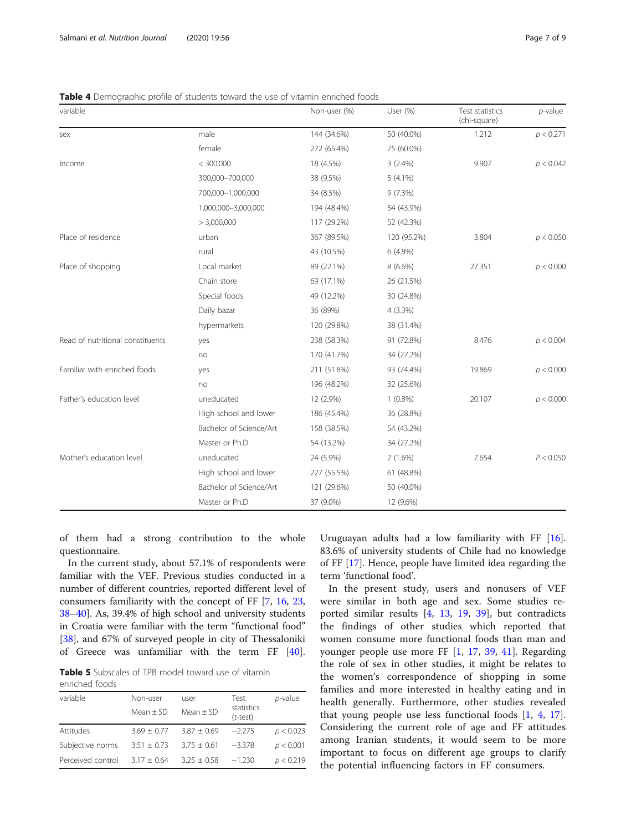|  | Table 4 Demographic profile of students toward the use of vitamin enriched foods |  |
|--|----------------------------------------------------------------------------------|--|
|  |                                                                                  |  |

| variable                         |                         | Non-user (%) | User (%)    | Test statistics<br>(chi-square) | $p$ -value |
|----------------------------------|-------------------------|--------------|-------------|---------------------------------|------------|
| sex                              | male                    | 144 (34.6%)  | 50 (40.0%)  | 1.212                           | p < 0.271  |
|                                  | female                  | 272 (65.4%)  | 75 (60.0%)  |                                 |            |
| Income                           | < 300,000               | 18 (4.5%)    | $3(2.4\%)$  | 9.907                           | p < 0.042  |
|                                  | 300,000-700,000         | 38 (9.5%)    | $5(4.1\%)$  |                                 |            |
|                                  | 700,000-1,000,000       | 34 (8.5%)    | 9(7.3%)     |                                 |            |
|                                  | 1,000,000-3,000,000     | 194 (48.4%)  | 54 (43.9%)  |                                 |            |
|                                  | > 3,000,000             | 117 (29.2%)  | 52 (42.3%)  |                                 |            |
| Place of residence               | urban                   | 367 (89.5%)  | 120 (95.2%) | 3.804                           | p < 0.050  |
|                                  | rural                   | 43 (10.5%)   | 6 (4.8%)    |                                 |            |
| Place of shopping                | Local market            | 89 (22.1%)   | $8(6.6\%)$  | 27.351                          | p < 0.000  |
|                                  | Chain store             | 69 (17.1%)   | 26 (21.5%)  |                                 |            |
|                                  | Special foods           | 49 (12.2%)   | 30 (24.8%)  |                                 |            |
|                                  | Daily bazar             | 36 (89%)     | $4(3.3\%)$  |                                 |            |
|                                  | hypermarkets            | 120 (29.8%)  | 38 (31.4%)  |                                 |            |
| Read of nutritional constituents | yes                     | 238 (58.3%)  | 91 (72.8%)  | 8.476                           | p < 0.004  |
|                                  | no                      | 170 (41.7%)  | 34 (27.2%)  |                                 |            |
| Familiar with enriched foods     | yes                     | 211 (51.8%)  | 93 (74.4%)  | 19.869                          | p < 0.000  |
|                                  | no                      | 196 (48.2%)  | 32 (25.6%)  |                                 |            |
| Father's education level         | uneducated              | 12 (2.9%)    | $1(0.8\%)$  | 20.107                          | p < 0.000  |
|                                  | High school and lower   | 186 (45.4%)  | 36 (28.8%)  |                                 |            |
|                                  | Bachelor of Science/Art | 158 (38.5%)  | 54 (43.2%)  |                                 |            |
|                                  | Master or Ph.D          | 54 (13.2%)   | 34 (27.2%)  |                                 |            |
| Mother's education level         | uneducated              | 24 (5.9%)    | $2(1.6\%)$  | 7.654                           | P < 0.050  |
|                                  | High school and lower   | 227 (55.5%)  | 61 (48.8%)  |                                 |            |
|                                  | Bachelor of Science/Art | 121 (29.6%)  | 50 (40.0%)  |                                 |            |
|                                  | Master or Ph.D          | 37 (9.0%)    | 12 (9.6%)   |                                 |            |

of them had a strong contribution to the whole questionnaire.

In the current study, about 57.1% of respondents were familiar with the VEF. Previous studies conducted in a number of different countries, reported different level of consumers familiarity with the concept of FF [7, 16, 23, 38–40]. As, 39.4% of high school and university students in Croatia were familiar with the term "functional food" [38], and 67% of surveyed people in city of Thessaloniki of Greece was unfamiliar with the term FF [40].

**Table 5** Subscales of TPB model toward use of vitamin enriched foods

| Non-user<br>Mean $+$ SD | user<br>Mean $\pm$ SD | Test<br>statistics<br>(t-test) | p-value   |
|-------------------------|-----------------------|--------------------------------|-----------|
| $3.69 + 0.77$           | $3.87 + 0.69$         | $-2.275$                       | p < 0.023 |
| $3.51 + 0.73$           | $3.75 \pm 0.61$       | $-3.378$                       | p < 0.001 |
| $3.17 + 0.64$           | $3.25 \pm 0.58$       | $-1.230$                       | p < 0.219 |
|                         |                       |                                |           |

Uruguayan adults had a low familiarity with FF [16]. 83.6% of university students of Chile had no knowledge of FF [17]. Hence, people have limited idea regarding the term 'functional food'.

In the present study, users and nonusers of VEF were similar in both age and sex. Some studies reported similar results [4, 13, 19, 39], but contradicts the findings of other studies which reported that women consume more functional foods than man and younger people use more FF [1, 17, 39, 41]. Regarding the role of sex in other studies, it might be relates to the women's correspondence of shopping in some families and more interested in healthy eating and in health generally. Furthermore, other studies revealed that young people use less functional foods [1, 4, 17]. Considering the current role of age and FF attitudes among Iranian students, it would seem to be more important to focus on different age groups to clarify the potential influencing factors in FF consumers.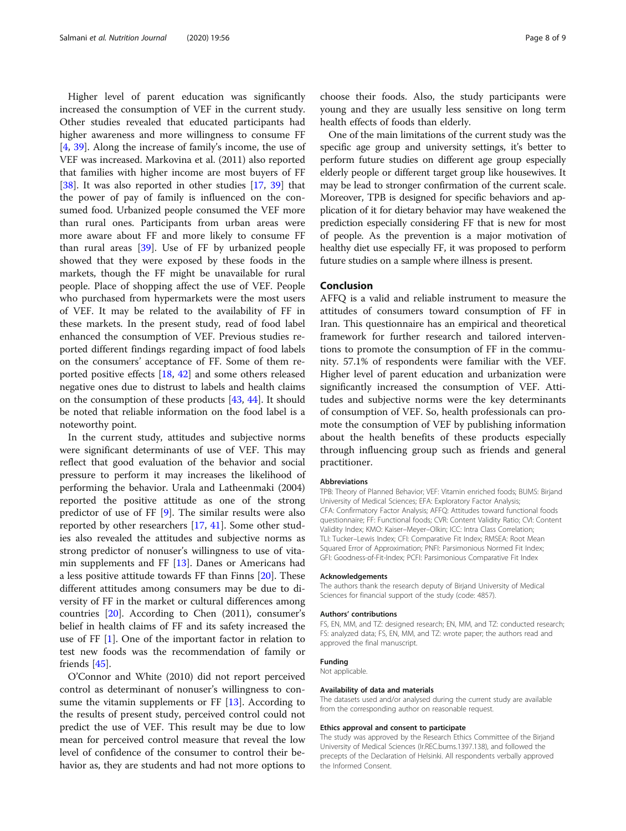Higher level of parent education was significantly increased the consumption of VEF in the current study. Other studies revealed that educated participants had higher awareness and more willingness to consume FF [4, 39]. Along the increase of family's income, the use of VEF was increased. Markovina et al. (2011) also reported that families with higher income are most buyers of FF [38]. It was also reported in other studies [17, 39] that the power of pay of family is influenced on the consumed food. Urbanized people consumed the VEF more than rural ones. Participants from urban areas were more aware about FF and more likely to consume FF than rural areas [39]. Use of FF by urbanized people showed that they were exposed by these foods in the markets, though the FF might be unavailable for rural people. Place of shopping affect the use of VEF. People who purchased from hypermarkets were the most users of VEF. It may be related to the availability of FF in these markets. In the present study, read of food label enhanced the consumption of VEF. Previous studies reported different findings regarding impact of food labels on the consumers' acceptance of FF. Some of them reported positive effects [18, 42] and some others released negative ones due to distrust to labels and health claims on the consumption of these products [43, 44]. It should be noted that reliable information on the food label is a noteworthy point.

In the current study, attitudes and subjective norms were significant determinants of use of VEF. This may reflect that good evaluation of the behavior and social pressure to perform it may increases the likelihood of performing the behavior. Urala and Latheenmaki (2004) reported the positive attitude as one of the strong predictor of use of FF [9]. The similar results were also reported by other researchers [17, 41]. Some other studies also revealed the attitudes and subjective norms as strong predictor of nonuser's willingness to use of vitamin supplements and FF [13]. Danes or Americans had a less positive attitude towards FF than Finns [20]. These different attitudes among consumers may be due to diversity of FF in the market or cultural differences among countries [20]. According to Chen (2011), consumer's belief in health claims of FF and its safety increased the use of FF [1]. One of the important factor in relation to test new foods was the recommendation of family or friends [45].

O'Connor and White (2010) did not report perceived control as determinant of nonuser's willingness to consume the vitamin supplements or FF [13]. According to the results of present study, perceived control could not predict the use of VEF. This result may be due to low mean for perceived control measure that reveal the low level of confidence of the consumer to control their behavior as, they are students and had not more options to

choose their foods. Also, the study participants were young and they are usually less sensitive on long term health effects of foods than elderly.

One of the main limitations of the current study was the specific age group and university settings, it's better to perform future studies on different age group especially elderly people or different target group like housewives. It may be lead to stronger confirmation of the current scale. Moreover, TPB is designed for specific behaviors and application of it for dietary behavior may have weakened the prediction especially considering FF that is new for most of people. As the prevention is a major motivation of healthy diet use especially FF, it was proposed to perform future studies on a sample where illness is present.

#### Conclusion

AFFQ is a valid and reliable instrument to measure the attitudes of consumers toward consumption of FF in Iran. This questionnaire has an empirical and theoretical framework for further research and tailored interventions to promote the consumption of FF in the community. 57.1% of respondents were familiar with the VEF. Higher level of parent education and urbanization were significantly increased the consumption of VEF. Attitudes and subjective norms were the key determinants of consumption of VEF. So, health professionals can promote the consumption of VEF by publishing information about the health benefits of these products especially through influencing group such as friends and general practitioner.

#### Abbreviations

TPB: Theory of Planned Behavior; VEF: Vitamin enriched foods; BUMS: Birjand University of Medical Sciences; EFA: Exploratory Factor Analysis; CFA: Confirmatory Factor Analysis; AFFQ: Attitudes toward functional foods questionnaire; FF: Functional foods; CVR: Content Validity Ratio; CVI: Content Validity Index; KMO: Kaiser–Meyer–Olkin; ICC: Intra Class Correlation; TLI: Tucker–Lewis Index; CFI: Comparative Fit Index; RMSEA: Root Mean Squared Error of Approximation; PNFI: Parsimonious Normed Fit Index; GFI: Goodness-of-Fit-Index; PCFI: Parsimonious Comparative Fit Index

#### Acknowledgements

The authors thank the research deputy of Birjand University of Medical Sciences for financial support of the study (code: 4857).

#### Authors' contributions

FS, EN, MM, and TZ: designed research; EN, MM, and TZ: conducted research; FS: analyzed data; FS, EN, MM, and TZ: wrote paper; the authors read and approved the final manuscript.

#### Funding

Not applicable.

#### Availability of data and materials

The datasets used and/or analysed during the current study are available from the corresponding author on reasonable request.

#### Ethics approval and consent to participate

The study was approved by the Research Ethics Committee of the Birjand University of Medical Sciences (Ir.REC.bums.1397.138), and followed the precepts of the Declaration of Helsinki. All respondents verbally approved the Informed Consent.